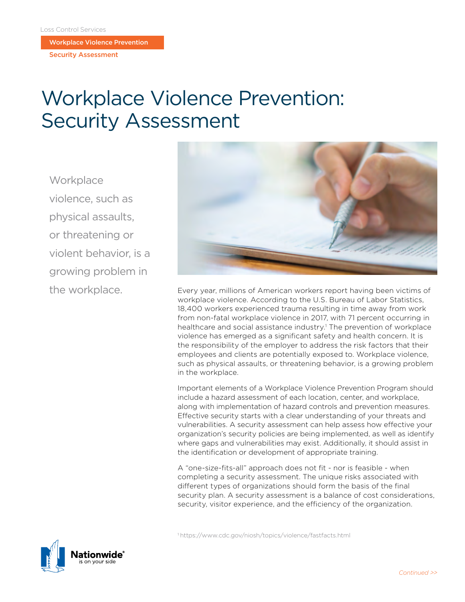Workplace Violence Prevention

Security Assessment

# Workplace Violence Prevention: Security Assessment

**Workplace** violence, such as physical assaults, or threatening or violent behavior, is a growing problem in the workplace.



Every year, millions of American workers report having been victims of workplace violence. According to the U.S. Bureau of Labor Statistics, 18,400 workers experienced trauma resulting in time away from work from non-fatal workplace violence in 2017, with 71 percent occurring in healthcare and social assistance industry.<sup>1</sup> The prevention of workplace violence has emerged as a significant safety and health concern. It is the responsibility of the employer to address the risk factors that their employees and clients are potentially exposed to. Workplace violence, such as physical assaults, or threatening behavior, is a growing problem in the workplace.

Important elements of a Workplace Violence Prevention Program should include a hazard assessment of each location, center, and workplace, along with implementation of hazard controls and prevention measures. Effective security starts with a clear understanding of your threats and vulnerabilities. A security assessment can help assess how effective your organization's security policies are being implemented, as well as identify where gaps and vulnerabilities may exist. Additionally, it should assist in the identification or development of appropriate training.

A "one-size-fits-all" approach does not fit - nor is feasible - when completing a security assessment. The unique risks associated with different types of organizations should form the basis of the final security plan. A security assessment is a balance of cost considerations, security, visitor experience, and the efficiency of the organization.

1https://www.cdc.gov/niosh/topics/violence/fastfacts.html

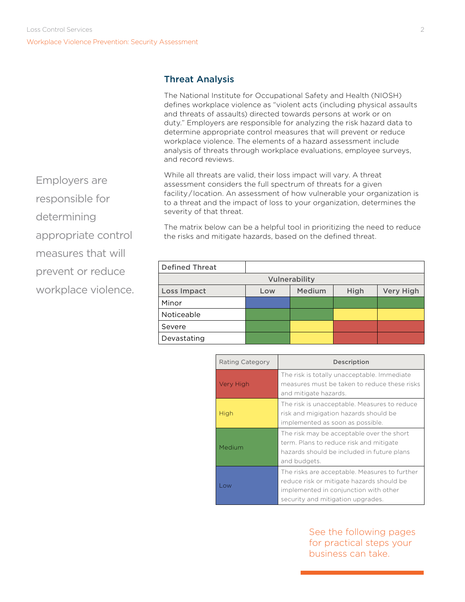# Threat Analysis

The National Institute for Occupational Safety and Health (NIOSH) defines workplace violence as "violent acts (including physical assaults and threats of assaults) directed towards persons at work or on duty." Employers are responsible for analyzing the risk hazard data to determine appropriate control measures that will prevent or reduce workplace violence. The elements of a hazard assessment include analysis of threats through workplace evaluations, employee surveys, and record reviews.

While all threats are valid, their loss impact will vary. A threat assessment considers the full spectrum of threats for a given facility/location. An assessment of how vulnerable your organization is to a threat and the impact of loss to your organization, determines the severity of that threat.

Employers are

responsible for

determining

appropriate control

measures that will

prevent or reduce

workplace violence.

The matrix below can be a helpful tool in prioritizing the need to reduce the risks and mitigate hazards, based on the defined threat.

| <b>Defined Threat</b> |     |        |      |                  |
|-----------------------|-----|--------|------|------------------|
| Vulnerability         |     |        |      |                  |
| Loss Impact           | Low | Medium | High | <b>Very High</b> |
| Minor                 |     |        |      |                  |
| Noticeable            |     |        |      |                  |
| Severe                |     |        |      |                  |
| Devastating           |     |        |      |                  |

| Rating Category | Description                                                                                                                                                              |
|-----------------|--------------------------------------------------------------------------------------------------------------------------------------------------------------------------|
| Very High       | The risk is totally unacceptable. Immediate<br>measures must be taken to reduce these risks<br>and mitigate hazards.                                                     |
| High            | The risk is unacceptable. Measures to reduce<br>risk and migigation hazards should be<br>implemented as soon as possible.                                                |
| Medium          | The risk may be acceptable over the short<br>term. Plans to reduce risk and mitigate<br>hazards should be included in future plans<br>and budgets.                       |
| <b>OW</b>       | The risks are acceptable. Measures to further<br>reduce risk or mitigate hazards should be<br>implemented in conjunction with other<br>security and mitigation upgrades. |

See the following pages for practical steps your business can take.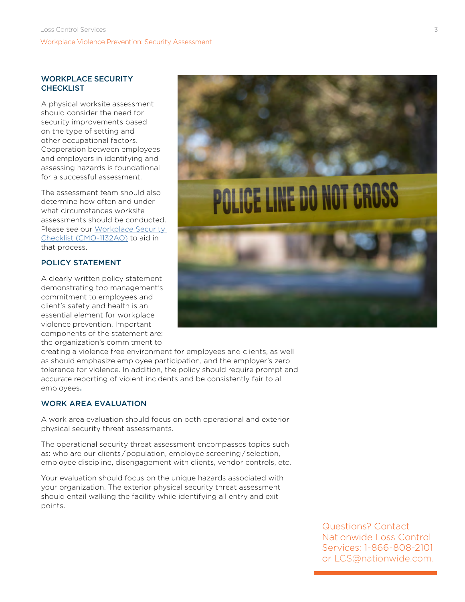#### WORKPLACE SECURITY **CHECKLIST**

A physical worksite assessment should consider the need for security improvements based on the type of setting and other occupational factors. Cooperation between employees and employers in identifying and assessing hazards is foundational for a successful assessment.

The assessment team should also determine how often and under what circumstances worksite assessments should be conducted. Please see our [Workplace Security](https://www.mylosscontrolservices.com/documents/loss-control-library/workplace-security-checklist)  [Checklist \(CMO-1132AO\)](https://www.mylosscontrolservices.com/documents/loss-control-library/workplace-security-checklist) to aid in that process.

## POLICY STATEMENT

A clearly written policy statement demonstrating top management's commitment to employees and client's safety and health is an essential element for workplace violence prevention. Important components of the statement are: the organization's commitment to



creating a violence free environment for employees and clients, as well as should emphasize employee participation, and the employer's zero tolerance for violence. In addition, the policy should require prompt and accurate reporting of violent incidents and be consistently fair to all employees.

### WORK AREA EVALUATION

A work area evaluation should focus on both operational and exterior physical security threat assessments.

The operational security threat assessment encompasses topics such as: who are our clients / population, employee screening / selection, employee discipline, disengagement with clients, vendor controls, etc.

Your evaluation should focus on the unique hazards associated with your organization. The exterior physical security threat assessment should entail walking the facility while identifying all entry and exit points.

> Questions? Contact Nationwide Loss Control Services: 1-866-808-2101 or LCS@nationwide.com.